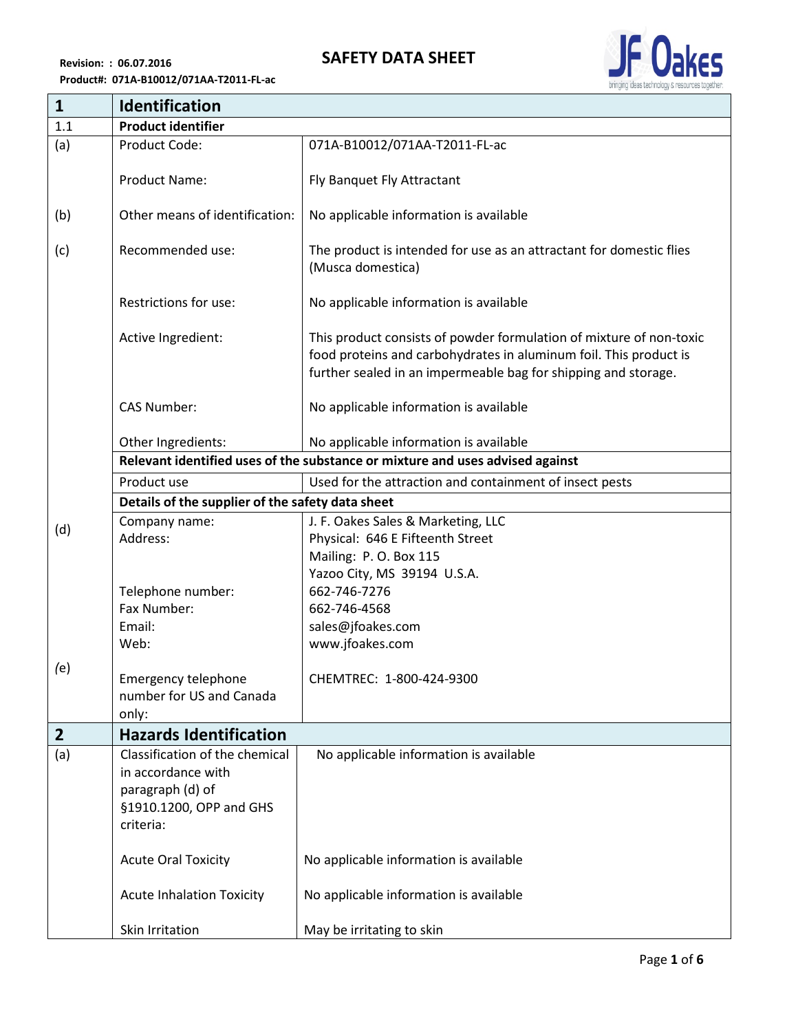

| $\mathbf{1}$   | Identification                                                                |                                                                                                                                                                                                            |  |
|----------------|-------------------------------------------------------------------------------|------------------------------------------------------------------------------------------------------------------------------------------------------------------------------------------------------------|--|
| 1.1            | <b>Product identifier</b>                                                     |                                                                                                                                                                                                            |  |
| (a)            | Product Code:                                                                 | 071A-B10012/071AA-T2011-FL-ac                                                                                                                                                                              |  |
|                | <b>Product Name:</b>                                                          | Fly Banquet Fly Attractant                                                                                                                                                                                 |  |
| (b)            | Other means of identification:                                                | No applicable information is available                                                                                                                                                                     |  |
| (c)            | Recommended use:                                                              | The product is intended for use as an attractant for domestic flies<br>(Musca domestica)                                                                                                                   |  |
|                | Restrictions for use:                                                         | No applicable information is available                                                                                                                                                                     |  |
|                | Active Ingredient:                                                            | This product consists of powder formulation of mixture of non-toxic<br>food proteins and carbohydrates in aluminum foil. This product is<br>further sealed in an impermeable bag for shipping and storage. |  |
|                | <b>CAS Number:</b>                                                            | No applicable information is available                                                                                                                                                                     |  |
|                | Other Ingredients:                                                            | No applicable information is available                                                                                                                                                                     |  |
|                | Relevant identified uses of the substance or mixture and uses advised against |                                                                                                                                                                                                            |  |
|                | Product use                                                                   | Used for the attraction and containment of insect pests                                                                                                                                                    |  |
|                | Details of the supplier of the safety data sheet                              |                                                                                                                                                                                                            |  |
| (d)            | Company name:                                                                 | J. F. Oakes Sales & Marketing, LLC                                                                                                                                                                         |  |
|                | Address:                                                                      | Physical: 646 E Fifteenth Street                                                                                                                                                                           |  |
|                |                                                                               | Mailing: P.O. Box 115                                                                                                                                                                                      |  |
|                | Telephone number:                                                             | Yazoo City, MS 39194 U.S.A.<br>662-746-7276                                                                                                                                                                |  |
|                | Fax Number:                                                                   | 662-746-4568                                                                                                                                                                                               |  |
|                | Email:                                                                        | sales@jfoakes.com                                                                                                                                                                                          |  |
|                | Web:                                                                          | www.jfoakes.com                                                                                                                                                                                            |  |
|                |                                                                               |                                                                                                                                                                                                            |  |
| (e)            | Emergency telephone                                                           | CHEMTREC: 1-800-424-9300                                                                                                                                                                                   |  |
|                | number for US and Canada                                                      |                                                                                                                                                                                                            |  |
|                | only:                                                                         |                                                                                                                                                                                                            |  |
| $\overline{2}$ | <b>Hazards Identification</b>                                                 |                                                                                                                                                                                                            |  |
| (a)            | Classification of the chemical                                                | No applicable information is available                                                                                                                                                                     |  |
|                | in accordance with                                                            |                                                                                                                                                                                                            |  |
|                | paragraph (d) of                                                              |                                                                                                                                                                                                            |  |
|                | §1910.1200, OPP and GHS                                                       |                                                                                                                                                                                                            |  |
|                | criteria:                                                                     |                                                                                                                                                                                                            |  |
|                | <b>Acute Oral Toxicity</b>                                                    | No applicable information is available                                                                                                                                                                     |  |
|                | <b>Acute Inhalation Toxicity</b>                                              | No applicable information is available                                                                                                                                                                     |  |
|                | Skin Irritation                                                               | May be irritating to skin                                                                                                                                                                                  |  |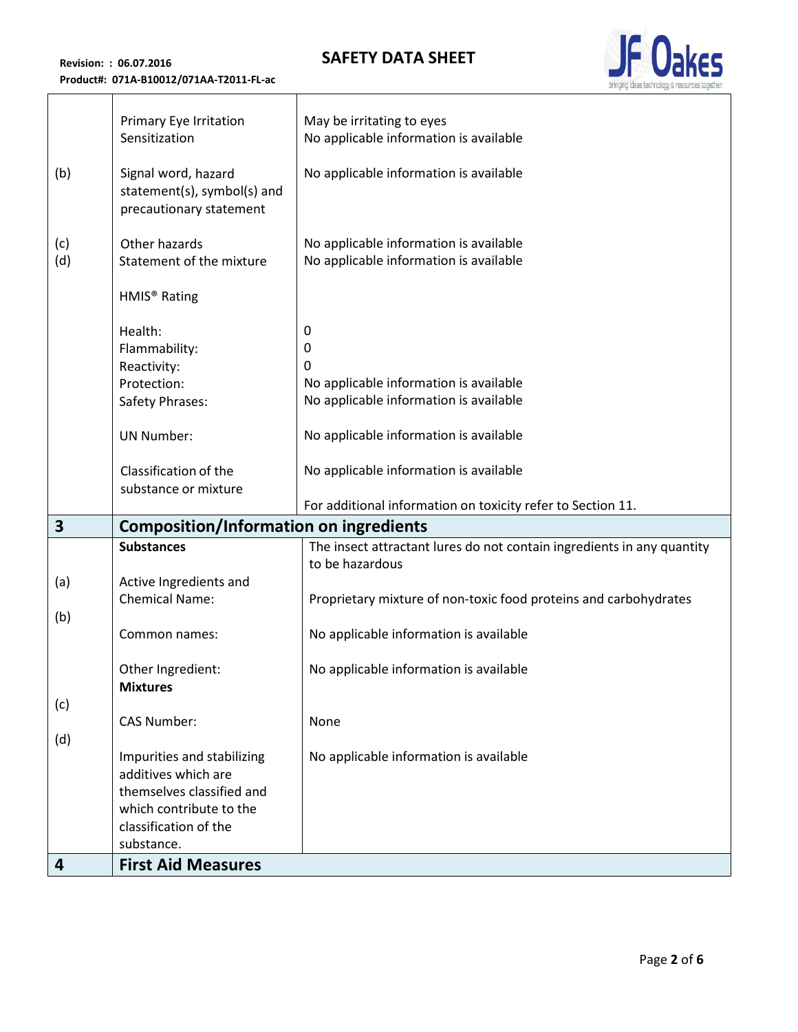## **SAFETY DATA SHEET**



| (b)<br>(c) | Primary Eye Irritation<br>Sensitization<br>Signal word, hazard<br>statement(s), symbol(s) and<br>precautionary statement<br>Other hazards        | May be irritating to eyes<br>No applicable information is available<br>No applicable information is available<br>No applicable information is available |
|------------|--------------------------------------------------------------------------------------------------------------------------------------------------|---------------------------------------------------------------------------------------------------------------------------------------------------------|
| (d)        | Statement of the mixture<br>HMIS <sup>®</sup> Rating<br>Health:<br>Flammability:                                                                 | No applicable information is available<br>0<br>0                                                                                                        |
|            | Reactivity:<br>Protection:<br>Safety Phrases:                                                                                                    | 0<br>No applicable information is available<br>No applicable information is available                                                                   |
|            | <b>UN Number:</b>                                                                                                                                | No applicable information is available                                                                                                                  |
|            | Classification of the<br>substance or mixture                                                                                                    | No applicable information is available<br>For additional information on toxicity refer to Section 11.                                                   |
| 3          | <b>Composition/Information on ingredients</b>                                                                                                    |                                                                                                                                                         |
|            | <b>Substances</b>                                                                                                                                | The insect attractant lures do not contain ingredients in any quantity                                                                                  |
| (a)        | Active Ingredients and<br><b>Chemical Name:</b>                                                                                                  | to be hazardous<br>Proprietary mixture of non-toxic food proteins and carbohydrates                                                                     |
| (b)        | Common names:                                                                                                                                    | No applicable information is available                                                                                                                  |
|            | Other Ingredient:<br><b>Mixtures</b>                                                                                                             | No applicable information is available                                                                                                                  |
| (c)        | <b>CAS Number:</b>                                                                                                                               | None                                                                                                                                                    |
| (d)        |                                                                                                                                                  |                                                                                                                                                         |
|            | Impurities and stabilizing<br>additives which are<br>themselves classified and<br>which contribute to the<br>classification of the<br>substance. | No applicable information is available                                                                                                                  |
| 4          |                                                                                                                                                  |                                                                                                                                                         |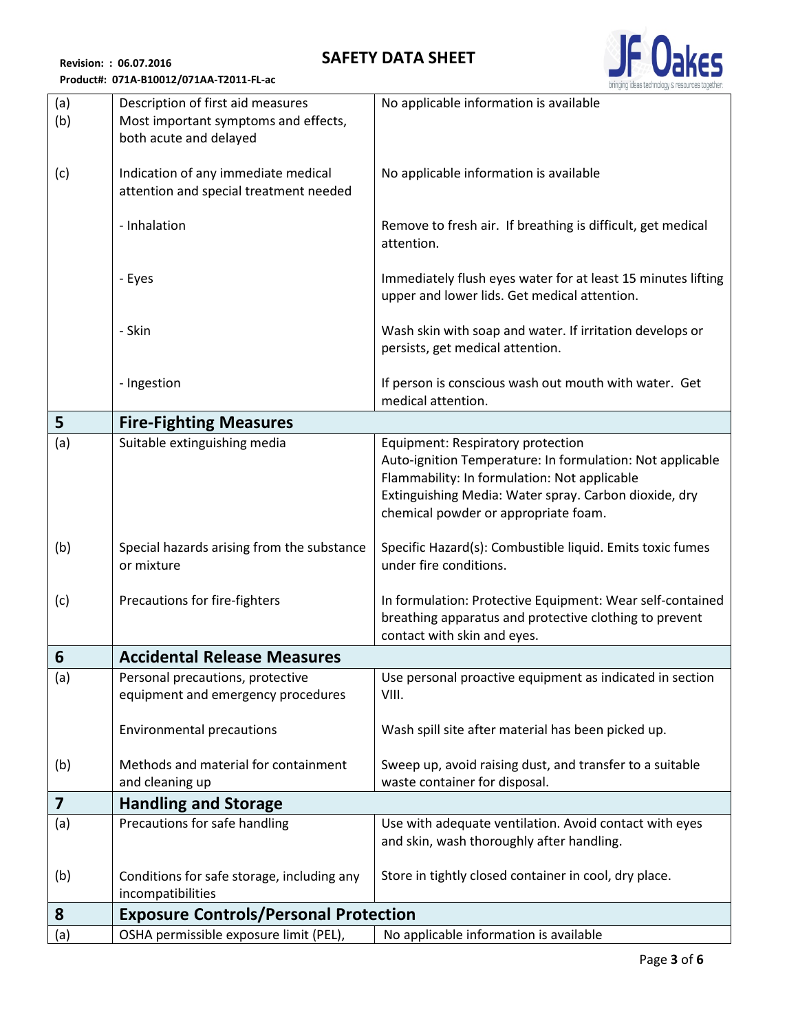## **SAFETY DATA SHEET**

**Revision: : 06.07.2016 Product#: 071A-B10012/071AA-T2011-FL-ac**

| (a)<br>(b)              | Description of first aid measures<br>Most important symptoms and effects,<br>both acute and delayed | No applicable information is available                                                                                                                                                                                                          |
|-------------------------|-----------------------------------------------------------------------------------------------------|-------------------------------------------------------------------------------------------------------------------------------------------------------------------------------------------------------------------------------------------------|
| (c)                     | Indication of any immediate medical<br>attention and special treatment needed                       | No applicable information is available                                                                                                                                                                                                          |
|                         | - Inhalation                                                                                        | Remove to fresh air. If breathing is difficult, get medical<br>attention.                                                                                                                                                                       |
|                         | - Eyes                                                                                              | Immediately flush eyes water for at least 15 minutes lifting<br>upper and lower lids. Get medical attention.                                                                                                                                    |
|                         | - Skin                                                                                              | Wash skin with soap and water. If irritation develops or<br>persists, get medical attention.                                                                                                                                                    |
|                         | - Ingestion                                                                                         | If person is conscious wash out mouth with water. Get<br>medical attention.                                                                                                                                                                     |
| 5                       | <b>Fire-Fighting Measures</b>                                                                       |                                                                                                                                                                                                                                                 |
| (a)                     | Suitable extinguishing media                                                                        | Equipment: Respiratory protection<br>Auto-ignition Temperature: In formulation: Not applicable<br>Flammability: In formulation: Not applicable<br>Extinguishing Media: Water spray. Carbon dioxide, dry<br>chemical powder or appropriate foam. |
| (b)                     | Special hazards arising from the substance<br>or mixture                                            | Specific Hazard(s): Combustible liquid. Emits toxic fumes<br>under fire conditions.                                                                                                                                                             |
| (c)                     | Precautions for fire-fighters                                                                       | In formulation: Protective Equipment: Wear self-contained<br>breathing apparatus and protective clothing to prevent<br>contact with skin and eyes.                                                                                              |
| 6                       | <b>Accidental Release Measures</b>                                                                  |                                                                                                                                                                                                                                                 |
| (a)                     | Personal precautions, protective<br>equipment and emergency procedures                              | Use personal proactive equipment as indicated in section<br>VIII.                                                                                                                                                                               |
|                         | <b>Environmental precautions</b>                                                                    | Wash spill site after material has been picked up.                                                                                                                                                                                              |
| (b)                     | Methods and material for containment<br>and cleaning up                                             | Sweep up, avoid raising dust, and transfer to a suitable<br>waste container for disposal.                                                                                                                                                       |
| $\overline{\mathbf{z}}$ | <b>Handling and Storage</b>                                                                         |                                                                                                                                                                                                                                                 |
| (a)                     | Precautions for safe handling                                                                       | Use with adequate ventilation. Avoid contact with eyes<br>and skin, wash thoroughly after handling.                                                                                                                                             |
| (b)                     | Conditions for safe storage, including any<br>incompatibilities                                     | Store in tightly closed container in cool, dry place.                                                                                                                                                                                           |
| 8                       | <b>Exposure Controls/Personal Protection</b>                                                        |                                                                                                                                                                                                                                                 |
| (a)                     | OSHA permissible exposure limit (PEL),                                                              | No applicable information is available                                                                                                                                                                                                          |

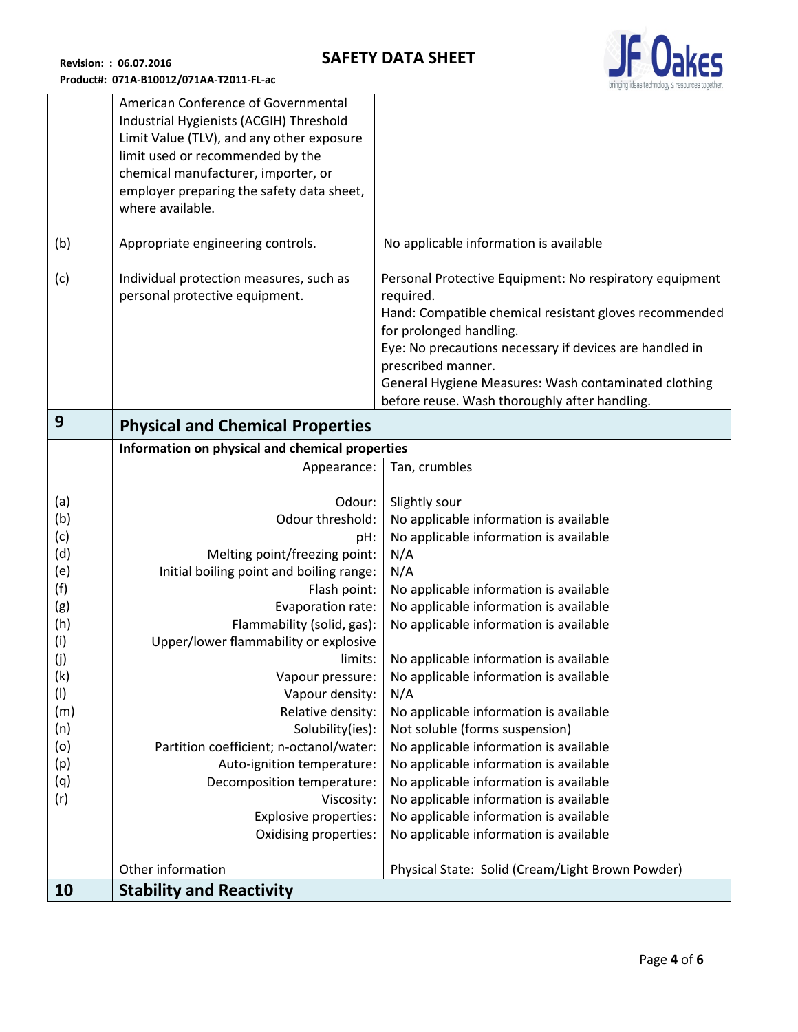

|     | American Conference of Governmental             |                                                         |
|-----|-------------------------------------------------|---------------------------------------------------------|
|     | Industrial Hygienists (ACGIH) Threshold         |                                                         |
|     | Limit Value (TLV), and any other exposure       |                                                         |
|     |                                                 |                                                         |
|     | limit used or recommended by the                |                                                         |
|     | chemical manufacturer, importer, or             |                                                         |
|     | employer preparing the safety data sheet,       |                                                         |
|     | where available.                                |                                                         |
|     |                                                 |                                                         |
| (b) | Appropriate engineering controls.               | No applicable information is available                  |
|     |                                                 |                                                         |
| (c) | Individual protection measures, such as         | Personal Protective Equipment: No respiratory equipment |
|     | personal protective equipment.                  | required.                                               |
|     |                                                 |                                                         |
|     |                                                 | Hand: Compatible chemical resistant gloves recommended  |
|     |                                                 | for prolonged handling.                                 |
|     |                                                 | Eye: No precautions necessary if devices are handled in |
|     |                                                 | prescribed manner.                                      |
|     |                                                 | General Hygiene Measures: Wash contaminated clothing    |
|     |                                                 | before reuse. Wash thoroughly after handling.           |
| 9   |                                                 |                                                         |
|     | <b>Physical and Chemical Properties</b>         |                                                         |
|     | Information on physical and chemical properties |                                                         |
|     | Appearance:                                     | Tan, crumbles                                           |
|     |                                                 |                                                         |
| (a) | Odour:                                          | Slightly sour                                           |
| (b) | Odour threshold:                                | No applicable information is available                  |
| (c) | pH:                                             | No applicable information is available                  |
| (d) | Melting point/freezing point:                   | N/A                                                     |
| (e) | Initial boiling point and boiling range:        | N/A                                                     |
| (f) |                                                 |                                                         |
|     | Flash point:                                    | No applicable information is available                  |
| (g) | Evaporation rate:                               | No applicable information is available                  |
| (h) | Flammability (solid, gas):                      | No applicable information is available                  |
| (i) | Upper/lower flammability or explosive           |                                                         |
| (j) | limits:                                         | No applicable information is available                  |
| (k) | Vapour pressure:                                | No applicable information is available                  |
| (1) | Vapour density:                                 | N/A                                                     |
| (m) | Relative density:                               | No applicable information is available                  |
| (n) | Solubility(ies):                                | Not soluble (forms suspension)                          |
| (o) | Partition coefficient; n-octanol/water:         | No applicable information is available                  |
| (p) | Auto-ignition temperature:                      | No applicable information is available                  |
|     |                                                 |                                                         |
| (q) | Decomposition temperature:                      | No applicable information is available                  |
| (r) | Viscosity:                                      | No applicable information is available                  |
|     | Explosive properties:                           | No applicable information is available                  |
|     | Oxidising properties:                           | No applicable information is available                  |
|     |                                                 |                                                         |
|     | Other information                               | Physical State: Solid (Cream/Light Brown Powder)        |
| 10  | <b>Stability and Reactivity</b>                 |                                                         |
|     |                                                 |                                                         |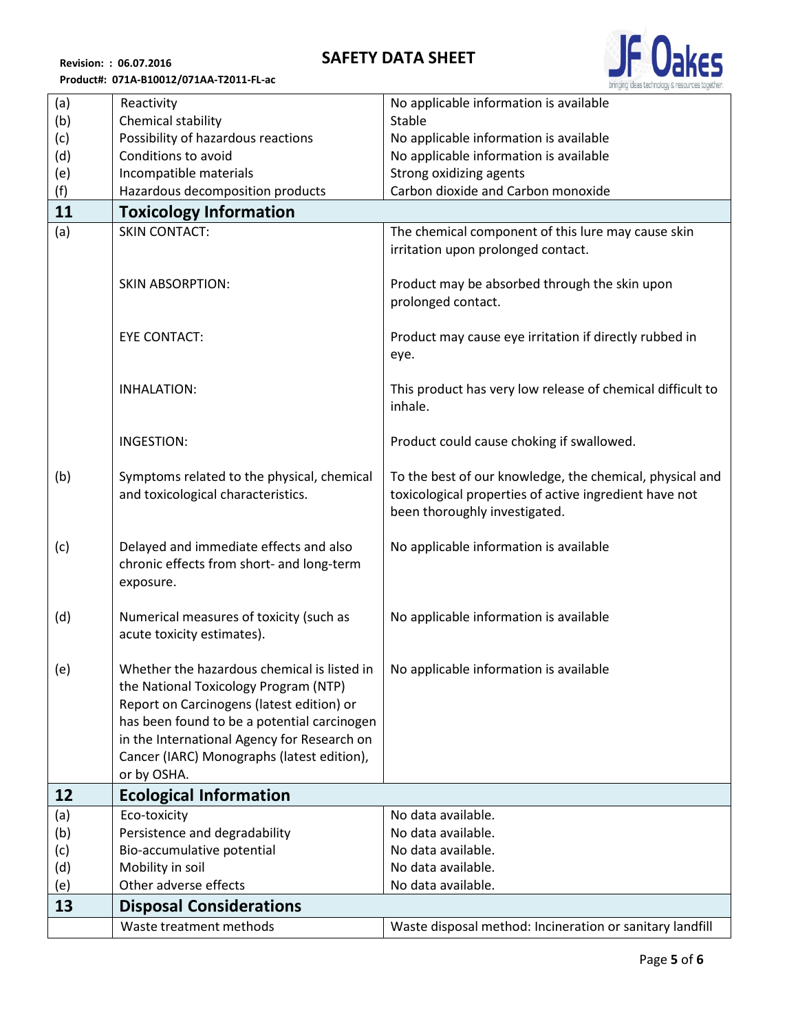## **SAFETY DATA SHEET**



**Revision: : 06.07.2016 Product#: 071A-B10012/071AA-T2011-FL-ac**

| (a) | Reactivity                                  | No applicable information is available                     |
|-----|---------------------------------------------|------------------------------------------------------------|
| (b) | Chemical stability                          | Stable                                                     |
| (c) | Possibility of hazardous reactions          | No applicable information is available                     |
| (d) | Conditions to avoid                         | No applicable information is available                     |
| (e) | Incompatible materials                      | Strong oxidizing agents                                    |
| (f) | Hazardous decomposition products            | Carbon dioxide and Carbon monoxide                         |
| 11  | <b>Toxicology Information</b>               |                                                            |
| (a) | <b>SKIN CONTACT:</b>                        | The chemical component of this lure may cause skin         |
|     |                                             | irritation upon prolonged contact.                         |
|     |                                             |                                                            |
|     | <b>SKIN ABSORPTION:</b>                     | Product may be absorbed through the skin upon              |
|     |                                             | prolonged contact.                                         |
|     |                                             |                                                            |
|     | <b>EYE CONTACT:</b>                         | Product may cause eye irritation if directly rubbed in     |
|     |                                             | eye.                                                       |
|     |                                             |                                                            |
|     | <b>INHALATION:</b>                          | This product has very low release of chemical difficult to |
|     |                                             | inhale.                                                    |
|     |                                             |                                                            |
|     | <b>INGESTION:</b>                           | Product could cause choking if swallowed.                  |
|     |                                             |                                                            |
| (b) | Symptoms related to the physical, chemical  | To the best of our knowledge, the chemical, physical and   |
|     | and toxicological characteristics.          | toxicological properties of active ingredient have not     |
|     |                                             | been thoroughly investigated.                              |
| (c) | Delayed and immediate effects and also      | No applicable information is available                     |
|     | chronic effects from short- and long-term   |                                                            |
|     | exposure.                                   |                                                            |
|     |                                             |                                                            |
| (d) | Numerical measures of toxicity (such as     | No applicable information is available                     |
|     | acute toxicity estimates).                  |                                                            |
|     |                                             |                                                            |
| (e) | Whether the hazardous chemical is listed in | No applicable information is available                     |
|     | the National Toxicology Program (NTP)       |                                                            |
|     | Report on Carcinogens (latest edition) or   |                                                            |
|     | has been found to be a potential carcinogen |                                                            |
|     | in the International Agency for Research on |                                                            |
|     | Cancer (IARC) Monographs (latest edition),  |                                                            |
|     | or by OSHA.                                 |                                                            |
| 12  | <b>Ecological Information</b>               |                                                            |
| (a) | Eco-toxicity                                | No data available.                                         |
| (b) | Persistence and degradability               | No data available.                                         |
| (c) | Bio-accumulative potential                  | No data available.                                         |
| (d) | Mobility in soil                            | No data available.                                         |
| (e) | Other adverse effects                       | No data available.                                         |
| 13  | <b>Disposal Considerations</b>              |                                                            |
|     | Waste treatment methods                     | Waste disposal method: Incineration or sanitary landfill   |
|     |                                             |                                                            |